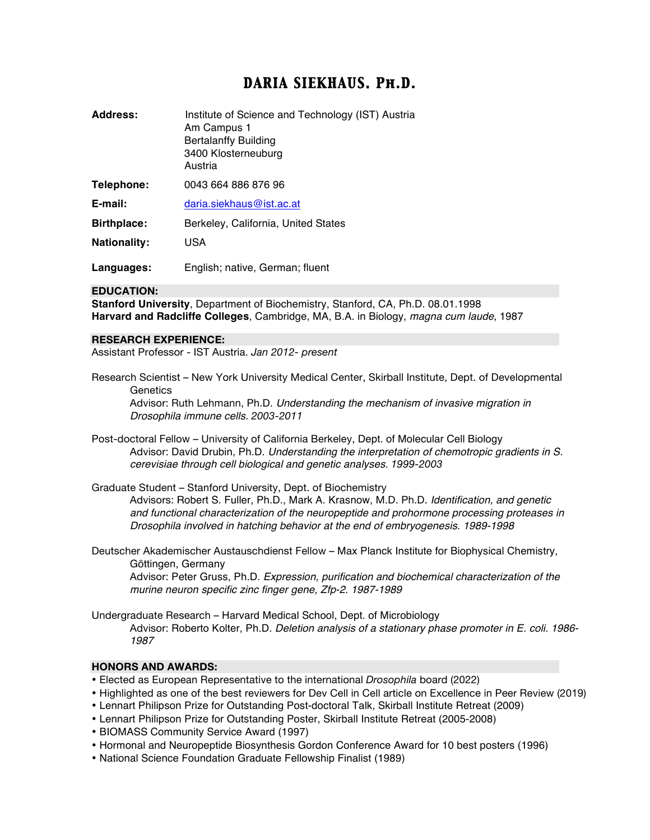# *DARIA SIEKHAUS, Ph.D.*

| Address:            | Institute of Science and Technology (IST) Austria<br>Am Campus 1<br><b>Bertalanffy Building</b><br>3400 Klosterneuburg<br>Austria |
|---------------------|-----------------------------------------------------------------------------------------------------------------------------------|
| Telephone:          | 0043 664 886 876 96                                                                                                               |
| E-mail:             | daria.siekhaus@ist.ac.at                                                                                                          |
| <b>Birthplace:</b>  | Berkeley, California, United States                                                                                               |
| <b>Nationality:</b> | USA                                                                                                                               |
|                     |                                                                                                                                   |

**Languages:** English; native, German; fluent

### **EDUCATION:**

**Stanford University**, Department of Biochemistry, Stanford, CA, Ph.D. 08.01.1998 **Harvard and Radcliffe Colleges**, Cambridge, MA, B.A. in Biology, *magna cum laude*, 1987

### **RESEARCH EXPERIENCE:**

Assistant Professor - IST Austria. *Jan 2012- present*

- Research Scientist New York University Medical Center, Skirball Institute, Dept. of Developmental **Genetics** Advisor: Ruth Lehmann, Ph.D. *Understanding the mechanism of invasive migration in Drosophila immune cells. 2003-2011*
- Post-doctoral Fellow University of California Berkeley, Dept. of Molecular Cell Biology Advisor: David Drubin, Ph.D. *Understanding the interpretation of chemotropic gradients in S. cerevisiae through cell biological and genetic analyses. 1999-2003*

Graduate Student – Stanford University, Dept. of Biochemistry Advisors: Robert S. Fuller, Ph.D., Mark A. Krasnow, M.D. Ph.D. *Identification, and genetic and functional characterization of the neuropeptide and prohormone processing proteases in Drosophila involved in hatching behavior at the end of embryogenesis. 1989-1998*

Deutscher Akademischer Austauschdienst Fellow – Max Planck Institute for Biophysical Chemistry, Göttingen, Germany Advisor: Peter Gruss, Ph.D. *Expression, purification and biochemical characterization of the murine neuron specific zinc finger gene, Zfp-2. 1987-1989*

Undergraduate Research – Harvard Medical School, Dept. of Microbiology Advisor: Roberto Kolter, Ph.D. *Deletion analysis of a stationary phase promoter in E. coli. 1986- 1987*

### **HONORS AND AWARDS:**

- Elected as European Representative to the international *Drosophila* board (2022)
- Highlighted as one of the best reviewers for Dev Cell in Cell article on Excellence in Peer Review (2019)
- Lennart Philipson Prize for Outstanding Post-doctoral Talk, Skirball Institute Retreat (2009)
- Lennart Philipson Prize for Outstanding Poster, Skirball Institute Retreat (2005-2008)
- BIOMASS Community Service Award (1997)
- Hormonal and Neuropeptide Biosynthesis Gordon Conference Award for 10 best posters (1996)
- National Science Foundation Graduate Fellowship Finalist (1989)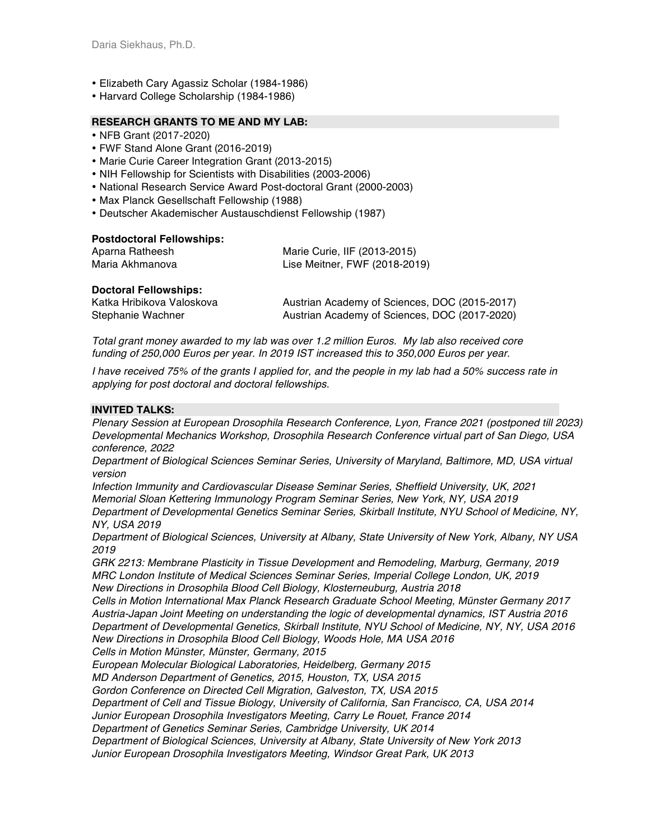- Elizabeth Cary Agassiz Scholar (1984-1986)
- Harvard College Scholarship (1984-1986)

### **RESEARCH GRANTS TO ME AND MY LAB:**

- NFB Grant (2017-2020)
- FWF Stand Alone Grant (2016-2019)
- Marie Curie Career Integration Grant (2013-2015)
- NIH Fellowship for Scientists with Disabilities (2003-2006)
- National Research Service Award Post-doctoral Grant (2000-2003)
- Max Planck Gesellschaft Fellowship (1988)
- Deutscher Akademischer Austauschdienst Fellowship (1987)

### **Postdoctoral Fellowships:**

| Aparna Ratheesh | Marie Curie, IIF (2013-2015)  |
|-----------------|-------------------------------|
| Maria Akhmanova | Lise Meitner, FWF (2018-2019) |

### **Doctoral Fellowships:**

| Katka Hribikova Valoskova | Austrian Academy of Sciences, DOC (2015-2017) |  |
|---------------------------|-----------------------------------------------|--|
| Stephanie Wachner         | Austrian Academy of Sciences, DOC (2017-2020) |  |

*Total grant money awarded to my lab was over 1.2 million Euros. My lab also received core funding of 250,000 Euros per year. In 2019 IST increased this to 350,000 Euros per year.*

*I have received 75% of the grants I applied for, and the people in my lab had a 50% success rate in applying for post doctoral and doctoral fellowships.*

# **INVITED TALKS:**

*Plenary Session at European Drosophila Research Conference, Lyon, France 2021 (postponed till 2023) Developmental Mechanics Workshop, Drosophila Research Conference virtual part of San Diego, USA conference, 2022* 

*Department of Biological Sciences Seminar Series, University of Maryland, Baltimore, MD, USA virtual version*

*Infection Immunity and Cardiovascular Disease Seminar Series, Sheffield University, UK, 2021 Memorial Sloan Kettering Immunology Program Seminar Series, New York, NY, USA 2019 Department of Developmental Genetics Seminar Series, Skirball Institute, NYU School of Medicine, NY, NY, USA 2019*

*Department of Biological Sciences, University at Albany, State University of New York, Albany, NY USA 2019*

*GRK 2213: Membrane Plasticity in Tissue Development and Remodeling, Marburg, Germany, 2019 MRC London Institute of Medical Sciences Seminar Series, Imperial College London, UK, 2019 New Directions in Drosophila Blood Cell Biology, Klosterneuburg, Austria 2018*

*Cells in Motion International Max Planck Research Graduate School Meeting, Münster Germany 2017 Austria-Japan Joint Meeting on understanding the logic of developmental dynamics, IST Austria 2016 Department of Developmental Genetics, Skirball Institute, NYU School of Medicine, NY, NY, USA 2016 New Directions in Drosophila Blood Cell Biology, Woods Hole, MA USA 2016*

*Cells in Motion Münster, Münster, Germany, 2015*

*European Molecular Biological Laboratories, Heidelberg, Germany 2015*

*MD Anderson Department of Genetics, 2015, Houston, TX, USA 2015*

*Gordon Conference on Directed Cell Migration, Galveston, TX, USA 2015*

*Department of Cell and Tissue Biology, University of California, San Francisco, CA, USA 2014*

*Junior European Drosophila Investigators Meeting, Carry Le Rouet, France 2014*

*Department of Genetics Seminar Series, Cambridge University, UK 2014*

*Department of Biological Sciences, University at Albany, State University of New York 2013*

*Junior European Drosophila Investigators Meeting, Windsor Great Park, UK 2013*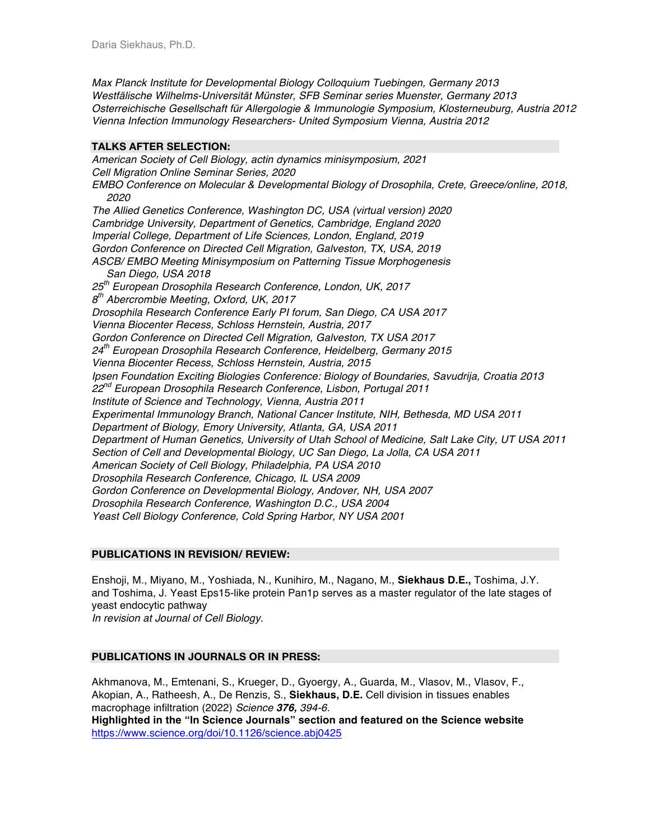*Max Planck Institute for Developmental Biology Colloquium Tuebingen, Germany 2013 Westfälische Wilhelms-Universität Münster, SFB Seminar series Muenster, Germany 2013 Osterreichische Gesellschaft für Allergologie & Immunologie Symposium, Klosterneuburg, Austria 2012 Vienna Infection Immunology Researchers- United Symposium Vienna, Austria 2012*

# **TALKS AFTER SELECTION:**

*American Society of Cell Biology, actin dynamics minisymposium, 2021 Cell Migration Online Seminar Series, 2020 EMBO Conference on Molecular & Developmental Biology of Drosophila, Crete, Greece/online, 2018, 2020 The Allied Genetics Conference, Washington DC, USA (virtual version) 2020 Cambridge University, Department of Genetics, Cambridge, England 2020 Imperial College, Department of Life Sciences, London, England, 2019 Gordon Conference on Directed Cell Migration, Galveston, TX, USA, 2019 ASCB/ EMBO Meeting Minisymposium on Patterning Tissue Morphogenesis San Diego, USA 2018 25th European Drosophila Research Conference, London, UK, 2017 8th Abercrombie Meeting, Oxford, UK, 2017 Drosophila Research Conference Early PI forum, San Diego, CA USA 2017 Vienna Biocenter Recess, Schloss Hernstein, Austria, 2017 Gordon Conference on Directed Cell Migration, Galveston, TX USA 2017 24th European Drosophila Research Conference, Heidelberg, Germany 2015 Vienna Biocenter Recess, Schloss Hernstein, Austria, 2015 Ipsen Foundation Exciting Biologies Conference: Biology of Boundaries, Savudrija, Croatia 2013 22nd European Drosophila Research Conference, Lisbon, Portugal 2011 Institute of Science and Technology, Vienna, Austria 2011 Experimental Immunology Branch, National Cancer Institute, NIH, Bethesda, MD USA 2011 Department of Biology, Emory University, Atlanta, GA, USA 2011 Department of Human Genetics, University of Utah School of Medicine, Salt Lake City, UT USA 2011 Section of Cell and Developmental Biology, UC San Diego, La Jolla, CA USA 2011 American Society of Cell Biology, Philadelphia, PA USA 2010 Drosophila Research Conference, Chicago, IL USA 2009 Gordon Conference on Developmental Biology, Andover, NH, USA 2007 Drosophila Research Conference, Washington D.C., USA 2004 Yeast Cell Biology Conference, Cold Spring Harbor, NY USA 2001*

# **PUBLICATIONS IN REVISION/ REVIEW:**

Enshoji, M., Miyano, M., Yoshiada, N., Kunihiro, M., Nagano, M., **Siekhaus D.E.,** Toshima, J.Y. and Toshima, J. Yeast Eps15-like protein Pan1p serves as a master regulator of the late stages of yeast endocytic pathway

*In revision at Journal of Cell Biology.*

# **PUBLICATIONS IN JOURNALS OR IN PRESS:**

Akhmanova, M., Emtenani, S., Krueger, D., Gyoergy, A., Guarda, M., Vlasov, M., Vlasov, F., Akopian, A., Ratheesh, A., De Renzis, S., **Siekhaus, D.E.** Cell division in tissues enables macrophage infiltration (2022) *Science 376, 394-6.*  **Highlighted in the "In Science Journals" section and featured on the Science website**

https://www.science.org/doi/10.1126/science.abj0425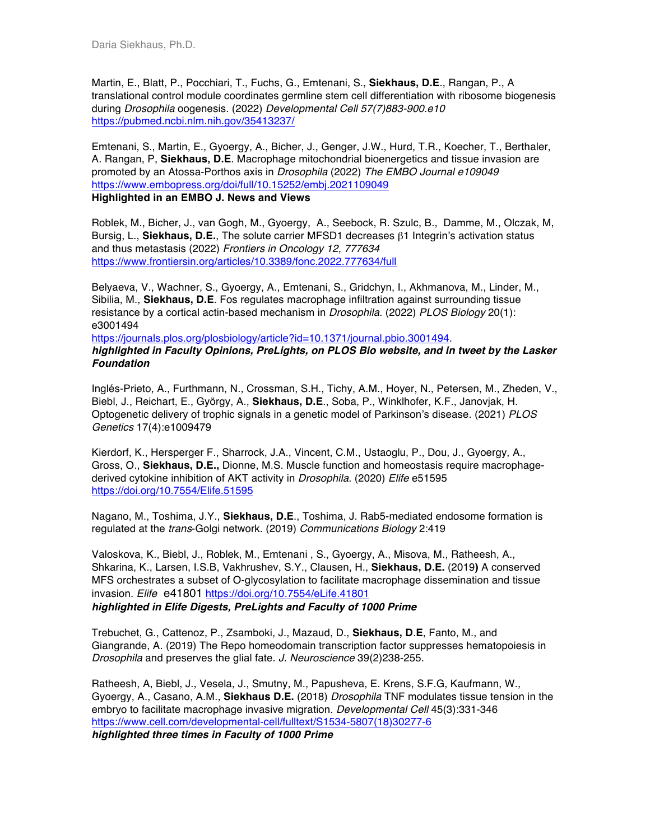Martin, E., Blatt, P., Pocchiari, T., Fuchs, G., Emtenani, S., **Siekhaus, D.E**., Rangan, P., A translational control module coordinates germline stem cell differentiation with ribosome biogenesis during *Drosophila* oogenesis. (2022) *Developmental Cell 57(7)883-900.e10* https://pubmed.ncbi.nlm.nih.gov/35413237/

Emtenani, S., Martin, E., Gyoergy, A., Bicher, J., Genger, J.W., Hurd, T.R., Koecher, T., Berthaler, A. Rangan, P, **Siekhaus, D.E**. Macrophage mitochondrial bioenergetics and tissue invasion are promoted by an Atossa-Porthos axis in *Drosophila* (2022) *The EMBO Journal e109049* https://www.embopress.org/doi/full/10.15252/embj.2021109049 **Highlighted in an EMBO J. News and Views**

Roblek, M., Bicher, J., van Gogh, M., Gyoergy, A., Seebock, R. Szulc, B., Damme, M., Olczak, M, Bursig, L., **Siekhaus, D.E.**, The solute carrier MFSD1 decreases β1 Integrin's activation status and thus metastasis (2022) *Frontiers in Oncology 12, 777634*  https://www.frontiersin.org/articles/10.3389/fonc.2022.777634/full

Belyaeva, V., Wachner, S., Gyoergy, A., Emtenani, S., Gridchyn, I., Akhmanova, M., Linder, M., Sibilia, M., **Siekhaus, D.E**. Fos regulates macrophage infiltration against surrounding tissue resistance by a cortical actin-based mechanism in *Drosophila*. (2022) *PLOS Biology* 20(1): e3001494

https://journals.plos.org/plosbiology/article?id=10.1371/journal.pbio.3001494. *highlighted in Faculty Opinions, PreLights, on PLOS Bio website, and in tweet by the Lasker Foundation*

Inglés-Prieto, A., Furthmann, N., Crossman, S.H., Tichy, A.M., Hoyer, N., Petersen, M., Zheden, V., Biebl, J., Reichart, E., György, A., **Siekhaus, D.E**., Soba, P., Winklhofer, K.F., Janovjak, H. Optogenetic delivery of trophic signals in a genetic model of Parkinson's disease. (2021) *PLOS Genetics* 17(4):e1009479

Kierdorf, K., Hersperger F., Sharrock, J.A., Vincent, C.M., Ustaoglu, P., Dou, J., Gyoergy, A., Gross, O., **Siekhaus, D.E.,** Dionne, M.S. Muscle function and homeostasis require macrophagederived cytokine inhibition of AKT activity in *Drosophila*. (2020) *Elife* e51595 https://doi.org/10.7554/Elife.51595

Nagano, M., Toshima, J.Y., **Siekhaus, D.E**., Toshima, J. Rab5-mediated endosome formation is regulated at the *trans*-Golgi network. (2019) *Communications Biology* 2:419

Valoskova, K., Biebl, J., Roblek, M., Emtenani , S., Gyoergy, A., Misova, M., Ratheesh, A., Shkarina, K., Larsen, I.S.B, Vakhrushev, S.Y., Clausen, H., **Siekhaus, D.E.** (2019**)** A conserved MFS orchestrates a subset of O-glycosylation to facilitate macrophage dissemination and tissue invasion. *Elife* e41801 https://doi.org/10.7554/eLife.41801 *highlighted in Elife Digests, PreLights and Faculty of 1000 Prime*

Trebuchet, G., Cattenoz, P., Zsamboki, J., Mazaud, D., **Siekhaus, D**.**E**, Fanto, M., and Giangrande, A. (2019) The Repo homeodomain transcription factor suppresses hematopoiesis in *Drosophila* and preserves the glial fate. *J. Neuroscience* 39(2)238-255.

Ratheesh, A, Biebl, J., Vesela, J., Smutny, M., Papusheva, E. Krens, S.F.G, Kaufmann, W., Gyoergy, A., Casano, A.M., **Siekhaus D.E.** (2018) *Drosophila* TNF modulates tissue tension in the embryo to facilitate macrophage invasive migration. *Developmental Cell* 45(3):331-346 https://www.cell.com/developmental-cell/fulltext/S1534-5807(18)30277-6

*highlighted three times in Faculty of 1000 Prime*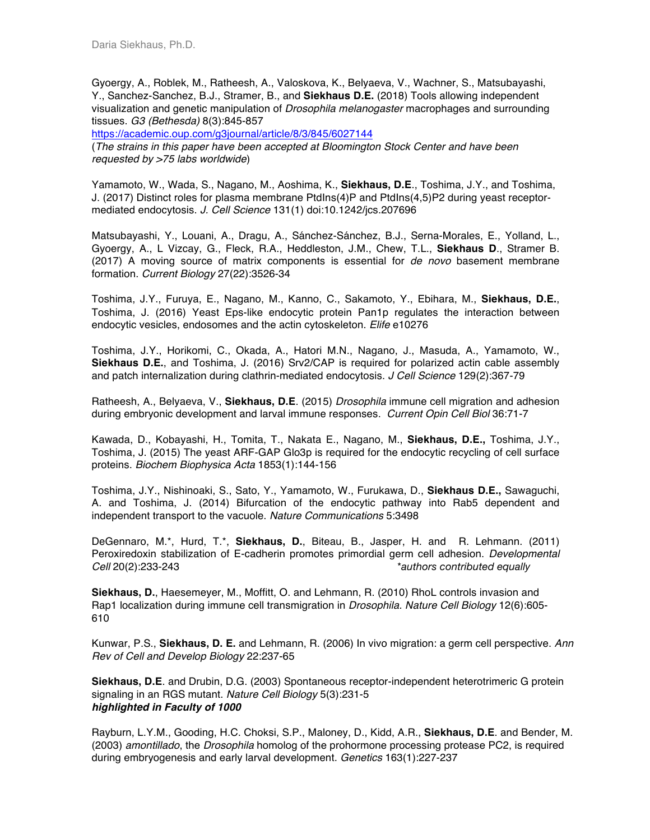Gyoergy, A., Roblek, M., Ratheesh, A., Valoskova, K., Belyaeva, V., Wachner, S., Matsubayashi, Y., Sanchez-Sanchez, B.J., Stramer, B., and **Siekhaus D.E.** (2018) Tools allowing independent visualization and genetic manipulation of *Drosophila melanogaster* macrophages and surrounding tissues. *G3 (Bethesda)* 8(3):845-857

https://academic.oup.com/g3journal/article/8/3/845/6027144

(*The strains in this paper have been accepted at Bloomington Stock Center and have been requested by >75 labs worldwide*)

Yamamoto, W., Wada, S., Nagano, M., Aoshima, K., **Siekhaus, D.E**., Toshima, J.Y., and Toshima, J. (2017) Distinct roles for plasma membrane PtdIns(4)P and PtdIns(4,5)P2 during yeast receptormediated endocytosis. *J. Cell Science* 131(1) doi:10.1242/jcs.207696

Matsubayashi, Y., Louani, A., Dragu, A., Sánchez-Sánchez, B.J., Serna-Morales, E., Yolland, L., Gyoergy, A., L Vizcay, G., Fleck, R.A., Heddleston, J.M., Chew, T.L., **Siekhaus D**., Stramer B. (2017) A moving source of matrix components is essential for *de novo* basement membrane formation. *Current Biology* 27(22):3526-34

Toshima, J.Y., Furuya, E., Nagano, M., Kanno, C., Sakamoto, Y., Ebihara, M., **Siekhaus, D.E.**, Toshima, J. (2016) Yeast Eps-like endocytic protein Pan1p regulates the interaction between endocytic vesicles, endosomes and the actin cytoskeleton. *Elife* e10276

Toshima, J.Y., Horikomi, C., Okada, A., Hatori M.N., Nagano, J., Masuda, A., Yamamoto, W., **Siekhaus D.E.**, and Toshima, J. (2016) Srv2/CAP is required for polarized actin cable assembly and patch internalization during clathrin-mediated endocytosis. *J Cell Science* 129(2):367-79

Ratheesh, A., Belyaeva, V., **Siekhaus, D.E**. (2015) *Drosophila* immune cell migration and adhesion during embryonic development and larval immune responses. *Current Opin Cell Biol* 36:71-7

Kawada, D., Kobayashi, H., Tomita, T., Nakata E., Nagano, M., **Siekhaus, D.E.,** Toshima, J.Y., Toshima, J. (2015) The yeast ARF-GAP Glo3p is required for the endocytic recycling of cell surface proteins. *Biochem Biophysica Acta* 1853(1):144-156

Toshima, J.Y., Nishinoaki, S., Sato, Y., Yamamoto, W., Furukawa, D., **Siekhaus D.E.,** Sawaguchi, A. and Toshima, J. (2014) Bifurcation of the endocytic pathway into Rab5 dependent and independent transport to the vacuole. *Nature Communications* 5:3498

DeGennaro, M.\*, Hurd, T.\*, **Siekhaus, D.**, Biteau, B., Jasper, H. and R. Lehmann. (2011) Peroxiredoxin stabilization of E-cadherin promotes primordial germ cell adhesion. *Developmental Cell* 20(2):233-243 \**authors contributed equally*

**Siekhaus, D.**, Haesemeyer, M., Moffitt, O. and Lehmann, R. (2010) RhoL controls invasion and Rap1 localization during immune cell transmigration in *Drosophila. Nature Cell Biology* 12(6):605- 610

Kunwar, P.S., **Siekhaus, D. E.** and Lehmann, R. (2006) In vivo migration: a germ cell perspective. *Ann Rev of Cell and Develop Biology* 22:237-65

**Siekhaus, D.E**. and Drubin, D.G. (2003) Spontaneous receptor-independent heterotrimeric G protein signaling in an RGS mutant. *Nature Cell Biology* 5(3):231-5 *highlighted in Faculty of 1000*

Rayburn, L.Y.M., Gooding, H.C. Choksi, S.P., Maloney, D., Kidd, A.R., **Siekhaus, D.E**. and Bender, M. (2003) *amontillado*, the *Drosophila* homolog of the prohormone processing protease PC2, is required during embryogenesis and early larval development. *Genetics* 163(1):227-237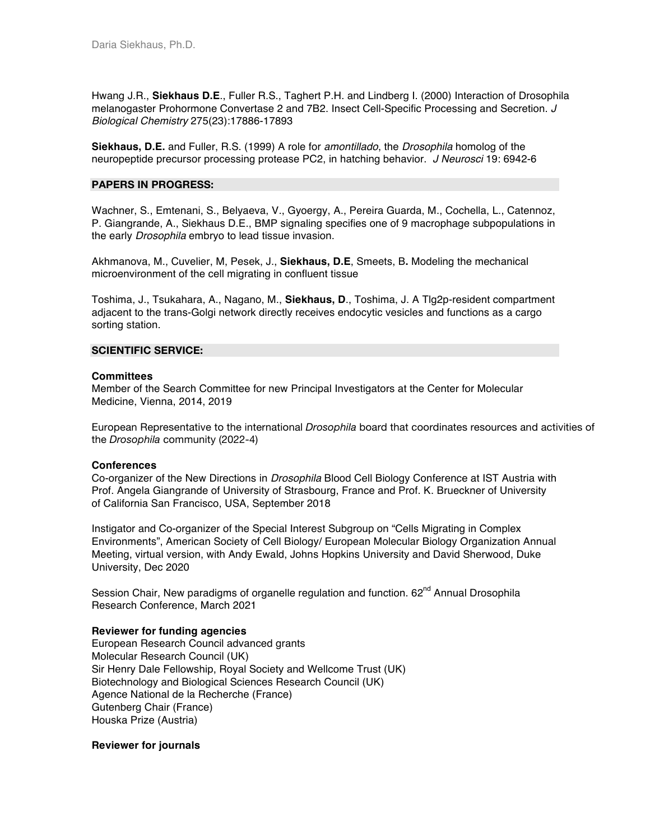Hwang J.R., **Siekhaus D.E**., Fuller R.S., Taghert P.H. and Lindberg I. (2000) Interaction of Drosophila melanogaster Prohormone Convertase 2 and 7B2. Insect Cell-Specific Processing and Secretion. *J Biological Chemistry* 275(23):17886-17893

**Siekhaus, D.E.** and Fuller, R.S. (1999) A role for *amontillado*, the *Drosophila* homolog of the neuropeptide precursor processing protease PC2, in hatching behavior. *J Neurosci* 19: 6942-6

### **PAPERS IN PROGRESS:**

Wachner, S., Emtenani, S., Belyaeva, V., Gyoergy, A., Pereira Guarda, M., Cochella, L., Catennoz, P. Giangrande, A., Siekhaus D.E., BMP signaling specifies one of 9 macrophage subpopulations in the early *Drosophila* embryo to lead tissue invasion.

Akhmanova, M., Cuvelier, M, Pesek, J., **Siekhaus, D.E**, Smeets, B**.** Modeling the mechanical microenvironment of the cell migrating in confluent tissue

Toshima, J., Tsukahara, A., Nagano, M., **Siekhaus, D**., Toshima, J. A Tlg2p-resident compartment adjacent to the trans-Golgi network directly receives endocytic vesicles and functions as a cargo sorting station.

### **SCIENTIFIC SERVICE:**

### **Committees**

Member of the Search Committee for new Principal Investigators at the Center for Molecular Medicine, Vienna, 2014, 2019

European Representative to the international *Drosophila* board that coordinates resources and activities of the *Drosophila* community (2022-4)

### **Conferences**

Co-organizer of the New Directions in *Drosophila* Blood Cell Biology Conference at IST Austria with Prof. Angela Giangrande of University of Strasbourg, France and Prof. K. Brueckner of University of California San Francisco, USA, September 2018

Instigator and Co-organizer of the Special Interest Subgroup on "Cells Migrating in Complex Environments", American Society of Cell Biology/ European Molecular Biology Organization Annual Meeting, virtual version, with Andy Ewald, Johns Hopkins University and David Sherwood, Duke University, Dec 2020

Session Chair, New paradigms of organelle regulation and function. 62<sup>nd</sup> Annual Drosophila Research Conference, March 2021

### **Reviewer for funding agencies**

European Research Council advanced grants Molecular Research Council (UK) Sir Henry Dale Fellowship, Royal Society and Wellcome Trust (UK) Biotechnology and Biological Sciences Research Council (UK) Agence National de la Recherche (France) Gutenberg Chair (France) Houska Prize (Austria)

### **Reviewer for journals**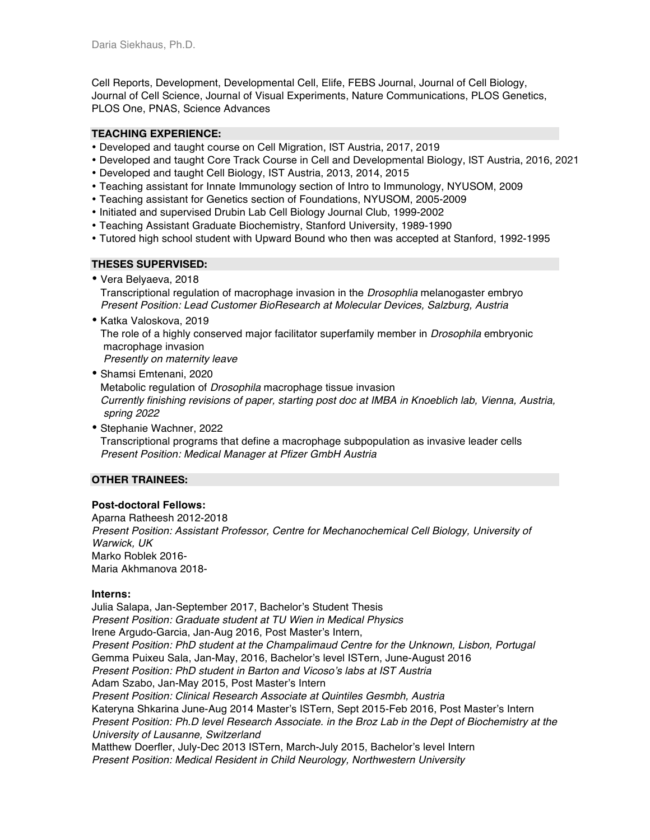Cell Reports, Development, Developmental Cell, Elife, FEBS Journal, Journal of Cell Biology, Journal of Cell Science, Journal of Visual Experiments, Nature Communications, PLOS Genetics, PLOS One, PNAS, Science Advances

# **TEACHING EXPERIENCE:**

- Developed and taught course on Cell Migration, IST Austria, 2017, 2019
- Developed and taught Core Track Course in Cell and Developmental Biology, IST Austria, 2016, 2021
- Developed and taught Cell Biology, IST Austria, 2013, 2014, 2015
- Teaching assistant for Innate Immunology section of Intro to Immunology, NYUSOM, 2009
- Teaching assistant for Genetics section of Foundations, NYUSOM, 2005-2009
- Initiated and supervised Drubin Lab Cell Biology Journal Club, 1999-2002
- Teaching Assistant Graduate Biochemistry, Stanford University, 1989-1990
- Tutored high school student with Upward Bound who then was accepted at Stanford, 1992-1995

# **THESES SUPERVISED:**

• Vera Belyaeva, 2018

 Transcriptional regulation of macrophage invasion in the *Drosophlia* melanogaster embryo  *Present Position: Lead Customer BioResearch at Molecular Devices, Salzburg, Austria*

• Katka Valoskova, 2019 The role of a highly conserved major facilitator superfamily member in *Drosophila* embryonic macrophage invasion

 *Presently on maternity leave*

• Shamsi Emtenani, 2020

 Metabolic regulation of *Drosophila* macrophage tissue invasion  *Currently finishing revisions of paper, starting post doc at IMBA in Knoeblich lab, Vienna, Austria, spring 2022*

• Stephanie Wachner, 2022 Transcriptional programs that define a macrophage subpopulation as invasive leader cells  *Present Position: Medical Manager at Pfizer GmbH Austria*

# **OTHER TRAINEES:**

### **Post-doctoral Fellows:**

Aparna Ratheesh 2012-2018 *Present Position: Assistant Professor, Centre for Mechanochemical Cell Biology, University of Warwick, UK* Marko Roblek 2016- Maria Akhmanova 2018-

# **Interns:**

Julia Salapa, Jan-September 2017, Bachelor's Student Thesis *Present Position: Graduate student at TU Wien in Medical Physics* Irene Argudo-Garcia, Jan-Aug 2016, Post Master's Intern, *Present Position: PhD student at the Champalimaud Centre for the Unknown, Lisbon, Portugal* Gemma Puixeu Sala, Jan-May, 2016, Bachelor's level ISTern, June-August 2016 *Present Position: PhD student in Barton and Vicoso's labs at IST Austria* Adam Szabo, Jan-May 2015, Post Master's Intern *Present Position: Clinical Research Associate at Quintiles Gesmbh, Austria* Kateryna Shkarina June-Aug 2014 Master's ISTern, Sept 2015-Feb 2016, Post Master's Intern *Present Position: Ph.D level Research Associate. in the Broz Lab in the Dept of Biochemistry at the University of Lausanne, Switzerland* Matthew Doerfler, July-Dec 2013 ISTern, March-July 2015, Bachelor's level Intern *Present Position: Medical Resident in Child Neurology, Northwestern University*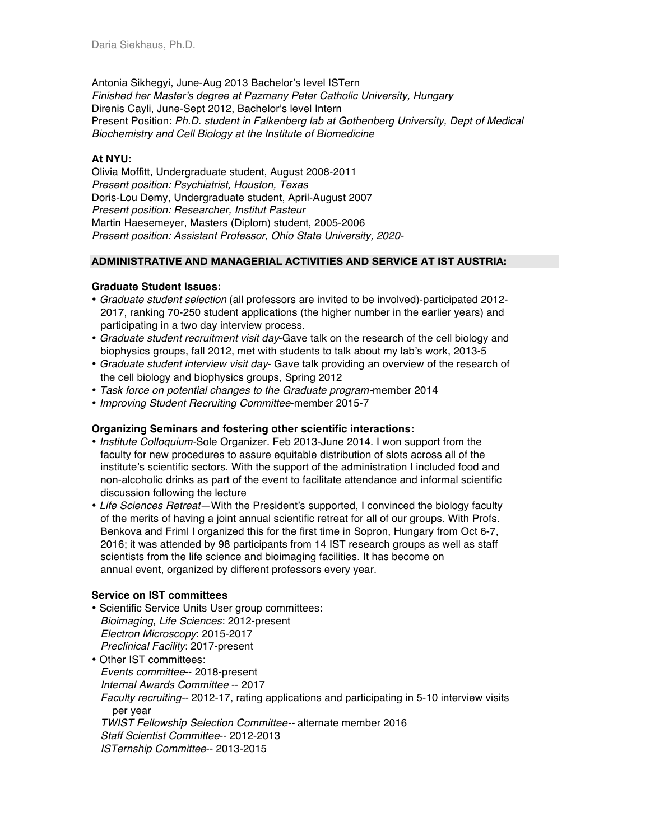Antonia Sikhegyi, June-Aug 2013 Bachelor's level ISTern *Finished her Master's degree at Pazmany Peter Catholic University, Hungary* Direnis Cayli, June-Sept 2012, Bachelor's level Intern Present Position: *Ph.D. student in Falkenberg lab at Gothenberg University, Dept of Medical Biochemistry and Cell Biology at the Institute of Biomedicine*

### **At NYU:**

Olivia Moffitt, Undergraduate student, August 2008-2011 *Present position: Psychiatrist, Houston, Texas* Doris-Lou Demy, Undergraduate student, April-August 2007 *Present position: Researcher, Institut Pasteur* Martin Haesemeyer, Masters (Diplom) student, 2005-2006 *Present position: Assistant Professor, Ohio State University, 2020-*

### **ADMINISTRATIVE AND MANAGERIAL ACTIVITIES AND SERVICE AT IST AUSTRIA:**

### **Graduate Student Issues:**

- *Graduate student selection* (all professors are invited to be involved)-participated 2012- 2017, ranking 70-250 student applications (the higher number in the earlier years) and participating in a two day interview process.
- *Graduate student recruitment visit day*-Gave talk on the research of the cell biology and biophysics groups, fall 2012, met with students to talk about my lab's work, 2013-5
- *Graduate student interview visit day* Gave talk providing an overview of the research of the cell biology and biophysics groups, Spring 2012
- *Task force on potential changes to the Graduate program-*member 2014
- *Improving Student Recruiting Committee*-member 2015-7

### **Organizing Seminars and fostering other scientific interactions:**

- *Institute Colloquium-*Sole Organizer. Feb 2013-June 2014. I won support from the faculty for new procedures to assure equitable distribution of slots across all of the institute's scientific sectors. With the support of the administration I included food and non-alcoholic drinks as part of the event to facilitate attendance and informal scientific discussion following the lecture
- *Life Sciences Retreat*—With the President's supported, I convinced the biology faculty of the merits of having a joint annual scientific retreat for all of our groups. With Profs. Benkova and Friml I organized this for the first time in Sopron, Hungary from Oct 6-7, 2016; it was attended by 98 participants from 14 IST research groups as well as staff scientists from the life science and bioimaging facilities. It has become on annual event, organized by different professors every year.

### **Service on IST committees**

- Scientific Service Units User group committees: *Bioimaging, Life Sciences*: 2012-present  *Electron Microscopy*: 2015-2017  *Preclinical Facility*: 2017-present
- Other IST committees: *Events committee*-- 2018-present *Internal Awards Committee* -- 2017 *Faculty recruiting--* 2012-17, rating applications and participating in 5-10 interview visits per year *TWIST Fellowship Selection Committee--* alternate member 2016 *Staff Scientist Committee*-- 2012-2013 *ISTernship Committee*-- 2013-2015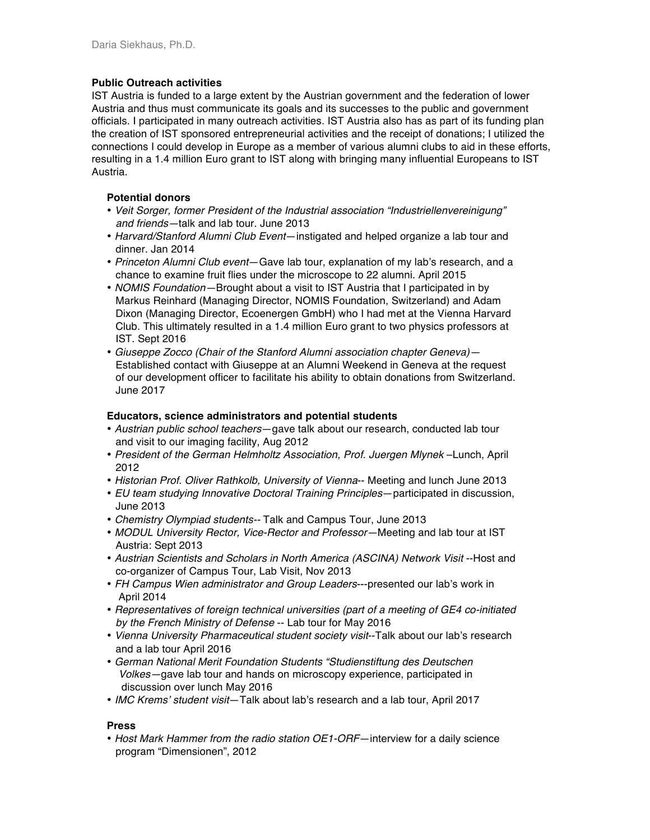# **Public Outreach activities**

IST Austria is funded to a large extent by the Austrian government and the federation of lower Austria and thus must communicate its goals and its successes to the public and government officials. I participated in many outreach activities. IST Austria also has as part of its funding plan the creation of IST sponsored entrepreneurial activities and the receipt of donations; I utilized the connections I could develop in Europe as a member of various alumni clubs to aid in these efforts, resulting in a 1.4 million Euro grant to IST along with bringing many influential Europeans to IST Austria.

# **Potential donors**

- *Veit Sorger, former President of the Industrial association "Industriellenvereinigung" and friends—*talk and lab tour. June 2013
- *Harvard/Stanford Alumni Club Event*—instigated and helped organize a lab tour and dinner. Jan 2014
- *Princeton Alumni Club event*—Gave lab tour, explanation of my lab's research, and a chance to examine fruit flies under the microscope to 22 alumni. April 2015
- *NOMIS Foundation—*Brought about a visit to IST Austria that I participated in by Markus Reinhard (Managing Director, NOMIS Foundation, Switzerland) and Adam Dixon (Managing Director, Ecoenergen GmbH) who I had met at the Vienna Harvard Club. This ultimately resulted in a 1.4 million Euro grant to two physics professors at IST. Sept 2016
- *Giuseppe Zocco (Chair of the Stanford Alumni association chapter Geneva)—* Established contact with Giuseppe at an Alumni Weekend in Geneva at the request of our development officer to facilitate his ability to obtain donations from Switzerland. June 2017

### **Educators, science administrators and potential students**

- *Austrian public school teachers*—gave talk about our research, conducted lab tour and visit to our imaging facility, Aug 2012
- *President of the German Helmholtz Association, Prof. Juergen Mlynek* –Lunch, April 2012
- *Historian Prof. Oliver Rathkolb, University of Vienna*-- Meeting and lunch June 2013
- *EU team studying Innovative Doctoral Training Principles*—participated in discussion, June 2013
- *Chemistry Olympiad students--* Talk and Campus Tour, June 2013
- *MODUL University Rector, Vice-Rector and Professor—*Meeting and lab tour at IST Austria: Sept 2013
- *Austrian Scientists and Scholars in North America (ASCINA) Network Visit* --Host and co-organizer of Campus Tour, Lab Visit, Nov 2013
- *FH Campus Wien administrator and Group Leaders*---presented our lab's work in April 2014
- *Representatives of foreign technical universities (part of a meeting of GE4 co-initiated by the French Ministry of Defense* -- Lab tour for May 2016
- *Vienna University Pharmaceutical student society visit*--Talk about our lab's research and a lab tour April 2016
- *German National Merit Foundation Students "Studienstiftung des Deutschen Volkes—*gave lab tour and hands on microscopy experience, participated in discussion over lunch May 2016
- *IMC Krems' student visit*—Talk about lab's research and a lab tour, April 2017

# **Press**

• *Host Mark Hammer from the radio station OE1-ORF*—interview for a daily science program "Dimensionen", 2012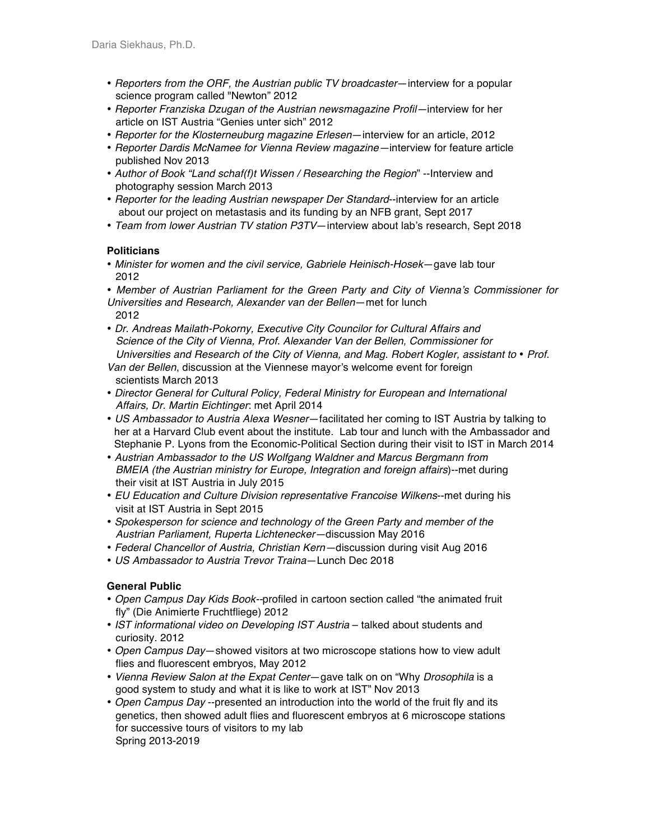- *Reporters from the ORF, the Austrian public TV broadcaster*—interview for a popular science program called "Newton" 2012
- *Reporter Franziska Dzugan of the Austrian newsmagazine Profil—*interview for her article on IST Austria "Genies unter sich" 2012
- *Reporter for the Klosterneuburg magazine Erlesen*—interview for an article, 2012
- *Reporter Dardis McNamee for Vienna Review magazine—*interview for feature article published Nov 2013
- *Author of Book "Land schaf(f)t Wissen / Researching the Region*" --Interview and photography session March 2013
- *Reporter for the leading Austrian newspaper Der Standard*--interview for an article about our project on metastasis and its funding by an NFB grant, Sept 2017
- *Team from lower Austrian TV station P3TV*—interview about lab's research, Sept 2018

# **Politicians**

- *Minister for women and the civil service, Gabriele Heinisch-Hosek*—gave lab tour 2012
- *Member of Austrian Parliament for the Green Party and City of Vienna's Commissioner for Universities and Research, Alexander van der Bellen*—met for lunch 2012
- *Dr. Andreas Mailath-Pokorny, Executive City Councilor for Cultural Affairs and Science of the City of Vienna, Prof. Alexander Van der Bellen, Commissioner for Universities and Research of the City of Vienna, and Mag. Robert Kogler, assistant to* • *Prof.*
- *Van der Bellen*, discussion at the Viennese mayor's welcome event for foreign scientists March 2013
- *Director General for Cultural Policy, Federal Ministry for European and International Affairs, Dr. Martin Eichtinger*: met April 2014
- *US Ambassador to Austria Alexa Wesner*—facilitated her coming to IST Austria by talking to her at a Harvard Club event about the institute. Lab tour and lunch with the Ambassador and Stephanie P. Lyons from the Economic-Political Section during their visit to IST in March 2014
- *Austrian Ambassador to the US Wolfgang Waldner and Marcus Bergmann from BMEIA (the Austrian ministry for Europe, Integration and foreign affairs*)--met during their visit at IST Austria in July 2015
- *EU Education and Culture Division representative Francoise Wilkens*--met during his visit at IST Austria in Sept 2015
- *Spokesperson for science and technology of the Green Party and member of the Austrian Parliament, Ruperta Lichtenecker—*discussion May 2016
- *Federal Chancellor of Austria, Christian Kern—*discussion during visit Aug 2016
- *US Ambassador to Austria Trevor Traina*—Lunch Dec 2018

# **General Public**

- *Open Campus Day Kids Book--*profiled in cartoon section called "the animated fruit fly" (Die Animierte Fruchtfliege) 2012
- *IST informational video on Developing IST Austria* talked about students and curiosity. 2012
- *Open Campus Day*—showed visitors at two microscope stations how to view adult flies and fluorescent embryos, May 2012
- *Vienna Review Salon at the Expat Center*—gave talk on on "Why *Drosophila* is a good system to study and what it is like to work at IST" Nov 2013
- *Open Campus Day* --presented an introduction into the world of the fruit fly and its genetics, then showed adult flies and fluorescent embryos at 6 microscope stations for successive tours of visitors to my lab Spring 2013-2019